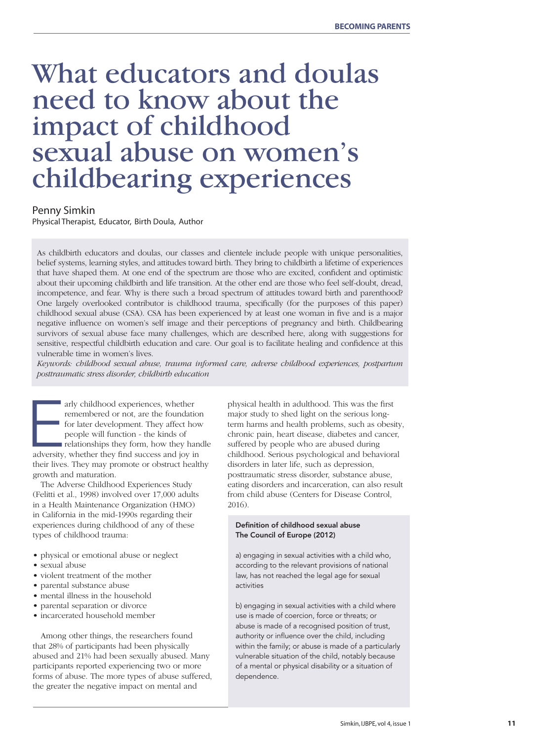# What educators and doulas need to know about the impact of childhood sexual abuse on women's childbearing experiences

### Penny Simkin

Physical Therapist, Educator, Birth Doula, Author

As childbirth educators and doulas, our classes and clientele include people with unique personalities, belief systems, learning styles, and attitudes toward birth. They bring to childbirth a lifetime of experiences that have shaped them. At one end of the spectrum are those who are excited, confident and optimistic about their upcoming childbirth and life transition. At the other end are those who feel self-doubt, dread, incompetence, and fear. Why is there such a broad spectrum of attitudes toward birth and parenthood? One largely overlooked contributor is childhood trauma, specifically (for the purposes of this paper) childhood sexual abuse (CSA). CSA has been experienced by at least one woman in five and is a major negative influence on women's self image and their perceptions of pregnancy and birth. Childbearing survivors of sexual abuse face many challenges, which are described here, along with suggestions for sensitive, respectful childbirth education and care. Our goal is to facilitate healing and confidence at this vulnerable time in women's lives.

*Keywords: childhood sexual abuse, trauma informed care, adverse childhood experiences, postpartum posttraumatic stress disorder, childbirth education*



arly childhood experiences, whether<br>remembered or not, are the foundation<br>for later development. They affect how<br>people will function - the kinds of<br>relationships they form, how they hand<br>adversity, whether they find succe arly childhood experiences, whether remembered or not, are the foundation for later development. They affect how people will function - the kinds of relationships they form, how they handle

their lives. They may promote or obstruct healthy growth and maturation.

The Adverse Childhood Experiences Study (Felitti et al., 1998) involved over 17,000 adults in a Health Maintenance Organization (HMO) in California in the mid-1990s regarding their experiences during childhood of any of these types of childhood trauma:

- physical or emotional abuse or neglect
- sexual abuse
- violent treatment of the mother
- parental substance abuse
- mental illness in the household
- parental separation or divorce
- incarcerated household member

Among other things, the researchers found that 28% of participants had been physically abused and 21% had been sexually abused. Many participants reported experiencing two or more forms of abuse. The more types of abuse suffered, the greater the negative impact on mental and

physical health in adulthood. This was the first major study to shed light on the serious longterm harms and health problems, such as obesity, chronic pain, heart disease, diabetes and cancer, suffered by people who are abused during childhood. Serious psychological and behavioral disorders in later life, such as depression, posttraumatic stress disorder, substance abuse, eating disorders and incarceration, can also result from child abuse (Centers for Disease Control, 2016).

### Definition of childhood sexual abuse The Council of Europe (2012)

a) engaging in sexual activities with a child who, according to the relevant provisions of national law, has not reached the legal age for sexual activities

b) engaging in sexual activities with a child where use is made of coercion, force or threats; or abuse is made of a recognised position of trust, authority or influence over the child, including within the family; or abuse is made of a particularly vulnerable situation of the child, notably because of a mental or physical disability or a situation of dependence.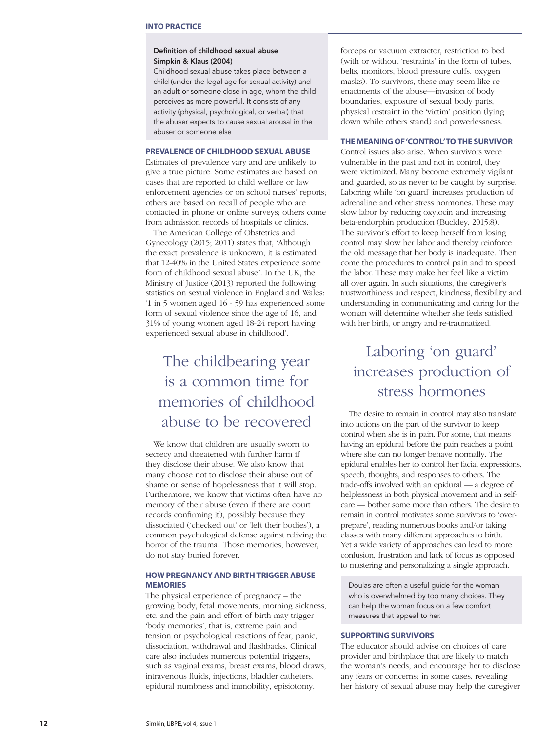#### Definition of childhood sexual abuse Simpkin & Klaus (2004)

Childhood sexual abuse takes place between a child (under the legal age for sexual activity) and an adult or someone close in age, whom the child perceives as more powerful. It consists of any activity (physical, psychological, or verbal) that the abuser expects to cause sexual arousal in the abuser or someone else

### **PREVALENCE OF CHILDHOOD SEXUAL ABUSE**

Estimates of prevalence vary and are unlikely to give a true picture. Some estimates are based on cases that are reported to child welfare or law enforcement agencies or on school nurses' reports; others are based on recall of people who are contacted in phone or online surveys; others come from admission records of hospitals or clinics.

The American College of Obstetrics and Gynecology (2015; 2011) states that, 'Although the exact prevalence is unknown, it is estimated that 12-40% in the United States experience some form of childhood sexual abuse'. In the UK, the Ministry of Justice (2013) reported the following statistics on sexual violence in England and Wales: '1 in 5 women aged 16 - 59 has experienced some form of sexual violence since the age of 16, and 31% of young women aged 18-24 report having experienced sexual abuse in childhood'.

### The childbearing year is a common time for memories of childhood abuse to be recovered

We know that children are usually sworn to secrecy and threatened with further harm if they disclose their abuse. We also know that many choose not to disclose their abuse out of shame or sense of hopelessness that it will stop. Furthermore, we know that victims often have no memory of their abuse (even if there are court records confirming it), possibly because they dissociated ('checked out' or 'left their bodies'), a common psychological defense against reliving the horror of the trauma. Those memories, however, do not stay buried forever.

### **HOW PREGNANCY AND BIRTH TRIGGER ABUSE MEMORIES**

The physical experience of pregnancy – the growing body, fetal movements, morning sickness, etc. and the pain and effort of birth may trigger 'body memories', that is, extreme pain and tension or psychological reactions of fear, panic, dissociation, withdrawal and flashbacks. Clinical care also includes numerous potential triggers, such as vaginal exams, breast exams, blood draws, intravenous fluids, injections, bladder catheters, epidural numbness and immobility, episiotomy,

forceps or vacuum extractor, restriction to bed (with or without 'restraints' in the form of tubes, belts, monitors, blood pressure cuffs, oxygen masks). To survivors, these may seem like reenactments of the abuse—invasion of body boundaries, exposure of sexual body parts, physical restraint in the 'victim' position (lying down while others stand) and powerlessness.

### **THE MEANING OF 'CONTROL' TO THE SURVIVOR**

Control issues also arise. When survivors were vulnerable in the past and not in control, they were victimized. Many become extremely vigilant and guarded, so as never to be caught by surprise. Laboring while 'on guard' increases production of adrenaline and other stress hormones. These may slow labor by reducing oxytocin and increasing beta-endorphin production (Buckley, 2015:8). The survivor's effort to keep herself from losing control may slow her labor and thereby reinforce the old message that her body is inadequate. Then come the procedures to control pain and to speed the labor. These may make her feel like a victim all over again. In such situations, the caregiver's trustworthiness and respect, kindness, flexibility and understanding in communicating and caring for the woman will determine whether she feels satisfied with her birth, or angry and re-traumatized.

### Laboring 'on guard' increases production of stress hormones

The desire to remain in control may also translate into actions on the part of the survivor to keep control when she is in pain. For some, that means having an epidural before the pain reaches a point where she can no longer behave normally. The epidural enables her to control her facial expressions, speech, thoughts, and responses to others. The trade-offs involved with an epidural — a degree of helplessness in both physical movement and in selfcare — bother some more than others. The desire to remain in control motivates some survivors to 'overprepare', reading numerous books and/or taking classes with many different approaches to birth. Yet a wide variety of approaches can lead to more confusion, frustration and lack of focus as opposed to mastering and personalizing a single approach.

Doulas are often a useful guide for the woman who is overwhelmed by too many choices. They can help the woman focus on a few comfort measures that appeal to her.

### **SUPPORTING SURVIVORS**

The educator should advise on choices of care provider and birthplace that are likely to match the woman's needs, and encourage her to disclose any fears or concerns; in some cases, revealing her history of sexual abuse may help the caregiver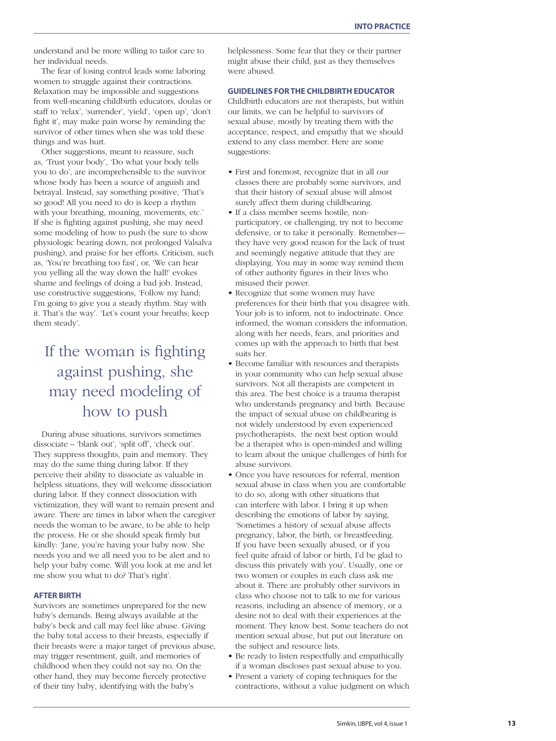understand and be more willing to tailor care to her individual needs.

The fear of losing control leads some laboring women to struggle against their contractions. Relaxation may be impossible and suggestions from well-meaning childbirth educators, doulas or staff to 'relax', 'surrender', 'yield', 'open up', 'don't fight it', may make pain worse by reminding the survivor of other times when she was told these things and was hurt.

Other suggestions, meant to reassure, such as, 'Trust your body', 'Do what your body tells you to do', are incomprehensible to the survivor whose body has been a source of anguish and betrayal. Instead, say something positive, 'That's so good! All you need to do is keep a rhythm with your breathing, moaning, movements, etc.' If she is fighting against pushing, she may need some modeling of how to push (be sure to show physiologic bearing down, not prolonged Valsalva pushing), and praise for her efforts. Criticism, such as, 'You're breathing too fast', or, 'We can hear you yelling all the way down the hall!' evokes shame and feelings of doing a bad job. Instead, use constructive suggestions, 'Follow my hand; I'm going to give you a steady rhythm. Stay with it. That's the way'. 'Let's count your breaths; keep them steady'.

## If the woman is fighting against pushing, she may need modeling of how to push

During abuse situations, survivors sometimes dissociate – 'blank out', 'split off', 'check out'. They suppress thoughts, pain and memory. They may do the same thing during labor. If they perceive their ability to dissociate as valuable in helpless situations, they will welcome dissociation during labor. If they connect dissociation with victimization, they will want to remain present and aware. There are times in labor when the caregiver needs the woman to be aware, to be able to help the process. He or she should speak firmly but kindly: 'Jane, you're having your baby now. She needs you and we all need you to be alert and to help your baby come. Will you look at me and let me show you what to do? That's right'.

### **AFTER BIRTH**

Survivors are sometimes unprepared for the new baby's demands. Being always available at the baby's beck and call may feel like abuse. Giving the baby total access to their breasts, especially if their breasts were a major target of previous abuse, may trigger resentment, guilt, and memories of childhood when they could not say no. On the other hand, they may become fiercely protective of their tiny baby, identifying with the baby's

helplessness. Some fear that they or their partner might abuse their child, just as they themselves were abused.

#### **GUIDELINES FOR THE CHILDBIRTH EDUCATOR**

Childbirth educators are not therapists, but within our limits, we can be helpful to survivors of sexual abuse, mostly by treating them with the acceptance, respect, and empathy that we should extend to any class member. Here are some suggestions:

- First and foremost, recognize that in all our classes there are probably some survivors, and that their history of sexual abuse will almost surely affect them during childbearing.
- If a class member seems hostile, nonparticipatory, or challenging, try not to become defensive, or to take it personally. Remember they have very good reason for the lack of trust and seemingly negative attitude that they are displaying. You may in some way remind them of other authority figures in their lives who misused their power.
- Recognize that some women may have preferences for their birth that you disagree with. Your job is to inform, not to indoctrinate. Once informed, the woman considers the information, along with her needs, fears, and priorities and comes up with the approach to birth that best suits her.
- Become familiar with resources and therapists in your community who can help sexual abuse survivors. Not all therapists are competent in this area. The best choice is a trauma therapist who understands pregnancy and birth. Because the impact of sexual abuse on childbearing is not widely understood by even experienced psychotherapists, the next best option would be a therapist who is open-minded and willing to learn about the unique challenges of birth for abuse survivors.
- Once you have resources for referral, mention sexual abuse in class when you are comfortable to do so, along with other situations that can interfere with labor. I bring it up when describing the emotions of labor by saying, 'Sometimes a history of sexual abuse affects pregnancy, labor, the birth, or breastfeeding. If you have been sexually abused, or if you feel quite afraid of labor or birth, I'd be glad to discuss this privately with you'. Usually, one or two women or couples in each class ask me about it. There are probably other survivors in class who choose not to talk to me for various reasons, including an absence of memory, or a desire not to deal with their experiences at the moment. They know best. Some teachers do not mention sexual abuse, but put out literature on the subject and resource lists.
- Be ready to listen respectfully and empathically if a woman discloses past sexual abuse to you.
- Present a variety of coping techniques for the contractions, without a value judgment on which